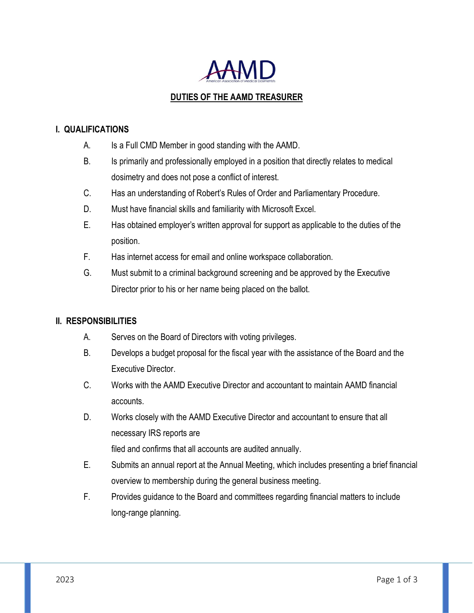

# **DUTIES OF THE AAMD TREASURER**

### **I. QUALIFICATIONS**

- A. Is a Full CMD Member in good standing with the AAMD.
- B. Is primarily and professionally employed in a position that directly relates to medical dosimetry and does not pose a conflict of interest.
- C. Has an understanding of Robert's Rules of Order and Parliamentary Procedure.
- D. Must have financial skills and familiarity with Microsoft Excel.
- E. Has obtained employer's written approval for support as applicable to the duties of the position.
- F. Has internet access for email and online workspace collaboration.
- G. Must submit to a criminal background screening and be approved by the Executive Director prior to his or her name being placed on the ballot.

#### **II. RESPONSIBILITIES**

- A. Serves on the Board of Directors with voting privileges.
- B. Develops a budget proposal for the fiscal year with the assistance of the Board and the Executive Director.
- C. Works with the AAMD Executive Director and accountant to maintain AAMD financial accounts.
- D. Works closely with the AAMD Executive Director and accountant to ensure that all necessary IRS reports are filed and confirms that all accounts are audited annually.
- E. Submits an annual report at the Annual Meeting, which includes presenting a brief financial overview to membership during the general business meeting.
- F. Provides guidance to the Board and committees regarding financial matters to include long-range planning.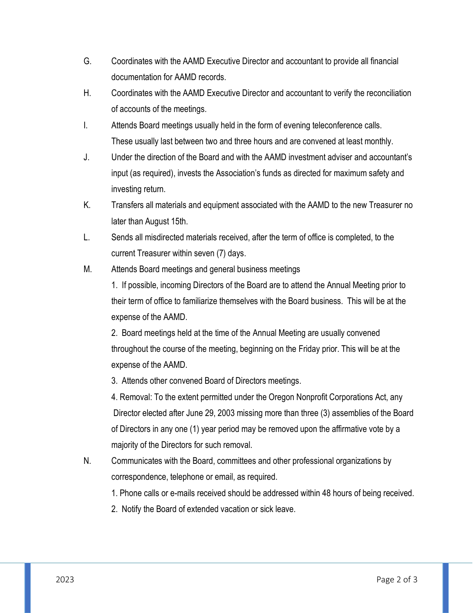- G. Coordinates with the AAMD Executive Director and accountant to provide all financial documentation for AAMD records.
- H. Coordinates with the AAMD Executive Director and accountant to verify the reconciliation of accounts of the meetings.
- I. Attends Board meetings usually held in the form of evening teleconference calls. These usually last between two and three hours and are convened at least monthly.
- J. Under the direction of the Board and with the AAMD investment adviser and accountant's input (as required), invests the Association's funds as directed for maximum safety and investing return.
- K. Transfers all materials and equipment associated with the AAMD to the new Treasurer no later than August 15th.
- L. Sends all misdirected materials received, after the term of office is completed, to the current Treasurer within seven (7) days.
- M. Attends Board meetings and general business meetings

1. If possible, incoming Directors of the Board are to attend the Annual Meeting prior to their term of office to familiarize themselves with the Board business. This will be at the expense of the AAMD.

2. Board meetings held at the time of the Annual Meeting are usually convened throughout the course of the meeting, beginning on the Friday prior. This will be at the expense of the AAMD.

3. Attends other convened Board of Directors meetings.

4. Removal: To the extent permitted under the Oregon Nonprofit Corporations Act, any Director elected after June 29, 2003 missing more than three (3) assemblies of the Board of Directors in any one (1) year period may be removed upon the affirmative vote by a majority of the Directors for such removal.

N. Communicates with the Board, committees and other professional organizations by correspondence, telephone or email, as required.

1. Phone calls or e-mails received should be addressed within 48 hours of being received.

2. Notify the Board of extended vacation or sick leave.